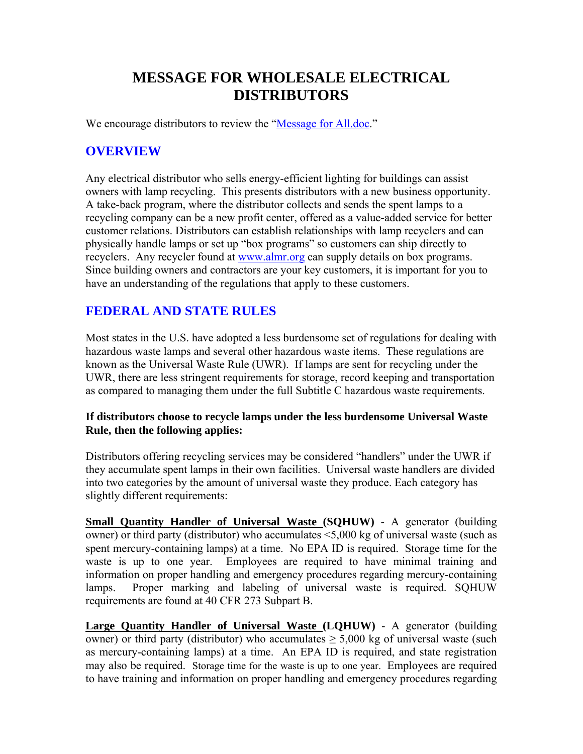# **MESSAGE FOR WHOLESALE ELECTRICAL DISTRIBUTORS**

We encourage distributors to review the "Message for All.doc."

### **OVERVIEW**

Any electrical distributor who sells energy-efficient lighting for buildings can assist owners with lamp recycling. This presents distributors with a new business opportunity. A take-back program, where the distributor collects and sends the spent lamps to a recycling company can be a new profit center, offered as a value-added service for better customer relations. Distributors can establish relationships with lamp recyclers and can physically handle lamps or set up "box programs" so customers can ship directly to recyclers. Any recycler found at [www.almr.org](http://www.almr.org/) can supply details on box programs. Since building owners and contractors are your key customers, it is important for you to have an understanding of the regulations that apply to these customers.

### **FEDERAL AND STATE RULES**

Most states in the U.S. have adopted a less burdensome set of regulations for dealing with hazardous waste lamps and several other hazardous waste items. These regulations are known as the Universal Waste Rule (UWR). If lamps are sent for recycling under the UWR, there are less stringent requirements for storage, record keeping and transportation as compared to managing them under the full Subtitle C hazardous waste requirements.

#### **If distributors choose to recycle lamps under the less burdensome Universal Waste Rule, then the following applies:**

Distributors offering recycling services may be considered "handlers" under the UWR if they accumulate spent lamps in their own facilities. Universal waste handlers are divided into two categories by the amount of universal waste they produce. Each category has slightly different requirements:

**Small Quantity Handler of Universal Waste (SQHUW)** - A generator (building owner) or third party (distributor) who accumulates <5,000 kg of universal waste (such as spent mercury-containing lamps) at a time. No EPA ID is required. Storage time for the waste is up to one year. Employees are required to have minimal training and information on proper handling and emergency procedures regarding mercury-containing lamps. Proper marking and labeling of universal waste is required. SQHUW requirements are found at 40 CFR 273 Subpart B.

**Large Quantity Handler of Universal Waste (LQHUW)** - A generator (building owner) or third party (distributor) who accumulates  $\geq 5,000$  kg of universal waste (such as mercury-containing lamps) at a time. An EPA ID is required, and state registration may also be required. Storage time for the waste is up to one year. Employees are required to have training and information on proper handling and emergency procedures regarding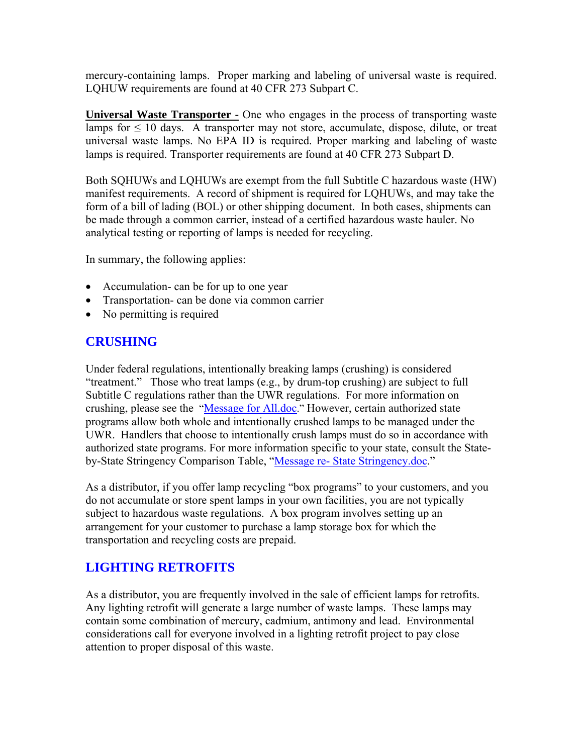mercury-containing lamps. Proper marking and labeling of universal waste is required. LQHUW requirements are found at 40 CFR 273 Subpart C.

**Universal Waste Transporter -** One who engages in the process of transporting waste lamps for  $\leq 10$  days. A transporter may not store, accumulate, dispose, dilute, or treat universal waste lamps. No EPA ID is required. Proper marking and labeling of waste lamps is required. Transporter requirements are found at 40 CFR 273 Subpart D.

Both SQHUWs and LQHUWs are exempt from the full Subtitle C hazardous waste (HW) manifest requirements. A record of shipment is required for LQHUWs, and may take the form of a bill of lading (BOL) or other shipping document. In both cases, shipments can be made through a common carrier, instead of a certified hazardous waste hauler. No analytical testing or reporting of lamps is needed for recycling.

In summary, the following applies:

- Accumulation- can be for up to one year
- Transportation- can be done via common carrier
- No permitting is required

#### **CRUSHING**

Under federal regulations, intentionally breaking lamps (crushing) is considered "treatment." Those who treat lamps (e.g., by drum-top crushing) are subject to full Subtitle C regulations rather than the UWR regulations. For more information on crushing, please see the "Message for All.doc." However, certain authorized state programs allow both whole and intentionally crushed lamps to be managed under the UWR. Handlers that choose to intentionally crush lamps must do so in accordance with authorized state programs. For more information specific to your state, consult the Stateby-State Stringency Comparison Table, "Message re- State Stringency.doc."

As a distributor, if you offer lamp recycling "box programs" to your customers, and you do not accumulate or store spent lamps in your own facilities, you are not typically subject to hazardous waste regulations. A box program involves setting up an arrangement for your customer to purchase a lamp storage box for which the transportation and recycling costs are prepaid.

#### **LIGHTING RETROFITS**

As a distributor, you are frequently involved in the sale of efficient lamps for retrofits. Any lighting retrofit will generate a large number of waste lamps. These lamps may contain some combination of mercury, cadmium, antimony and lead. Environmental considerations call for everyone involved in a lighting retrofit project to pay close attention to proper disposal of this waste.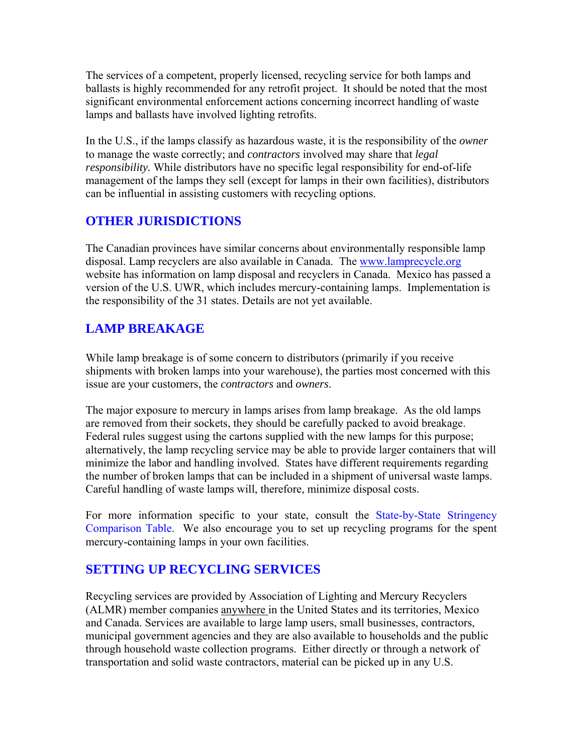The services of a competent, properly licensed, recycling service for both lamps and ballasts is highly recommended for any retrofit project. It should be noted that the most significant environmental enforcement actions concerning incorrect handling of waste lamps and ballasts have involved lighting retrofits.

In the U.S., if the lamps classify as hazardous waste, it is the responsibility of the *owner* to manage the waste correctly; and *contractors* involved may share that *legal responsibility.* While distributors have no specific legal responsibility for end-of-life management of the lamps they sell (except for lamps in their own facilities), distributors can be influential in assisting customers with recycling options.

### **OTHER JURISDICTIONS**

The Canadian provinces have similar concerns about environmentally responsible lamp disposal. Lamp recyclers are also available in Canada. The [www.lamprecycle.org](http://www.lamprecycle.org/) website has information on lamp disposal and recyclers in Canada. Mexico has passed a version of the U.S. UWR, which includes mercury-containing lamps. Implementation is the responsibility of the 31 states. Details are not yet available.

## **LAMP BREAKAGE**

While lamp breakage is of some concern to distributors (primarily if you receive shipments with broken lamps into your warehouse), the parties most concerned with this issue are your customers, the *contractors* and *owners*.

The major exposure to mercury in lamps arises from lamp breakage. As the old lamps are removed from their sockets, they should be carefully packed to avoid breakage. Federal rules suggest using the cartons supplied with the new lamps for this purpose; alternatively, the lamp recycling service may be able to provide larger containers that will minimize the labor and handling involved. States have different requirements regarding the number of broken lamps that can be included in a shipment of universal waste lamps. Careful handling of waste lamps will, therefore, minimize disposal costs.

For more information specific to your state, consult the State-by-State Stringency Comparison Table. We also encourage you to set up recycling programs for the spent mercury-containing lamps in your own facilities.

## **SETTING UP RECYCLING SERVICES**

Recycling services are provided by Association of Lighting and Mercury Recyclers (ALMR) member companies anywhere in the United States and its territories, Mexico and Canada. Services are available to large lamp users, small businesses, contractors, municipal government agencies and they are also available to households and the public through household waste collection programs. Either directly or through a network of transportation and solid waste contractors, material can be picked up in any U.S.